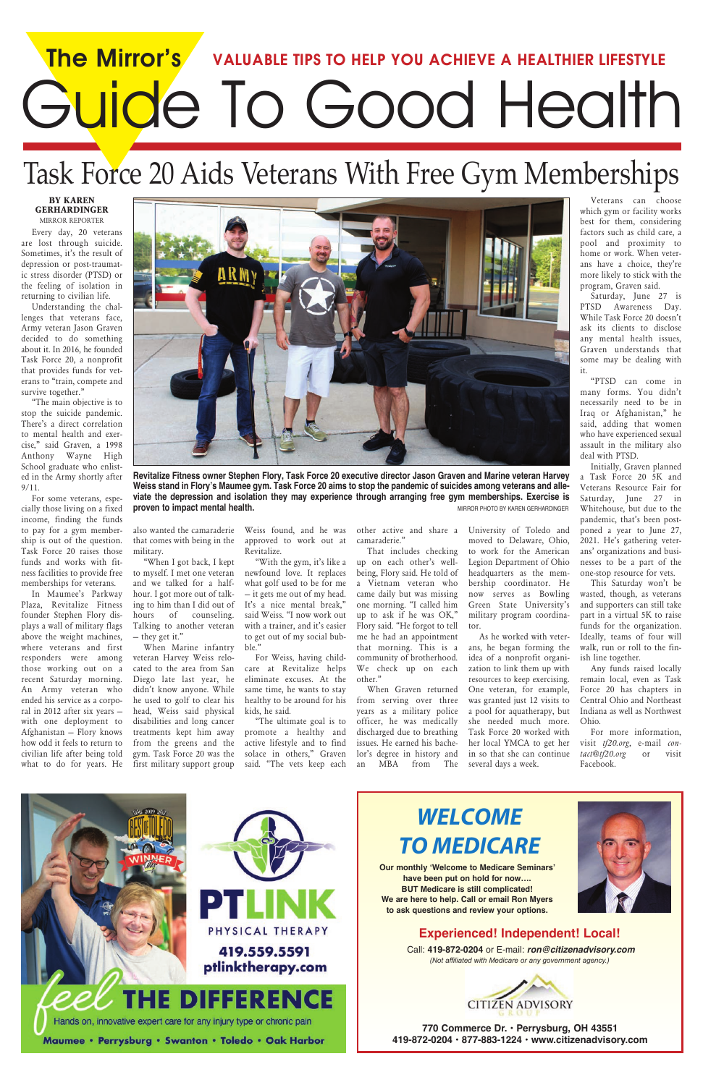# *WELCOME TO MEDICARE*

**Our monthly 'Welcome to Medicare Seminars' have been put on hold for now…. BUT Medicare is still complicated! We are here to help. Call or email Ron Myers to ask questions and review your options.** 



**770 Commerce Dr. • Perrysburg, OH 43551 419-872-0204 • 877-883-1224 • www.citizenadvisory.com** 

## **Experienced! Independent! Local!**

Call: **419-872-0204** or E-mail: *ron@citizenadvisory.com (Not affiliated with Medicare or any government agency.)* 



# **The Mirror's VALUABLE TIPS TO HELP YOU ACHIEVE A HEALTHIER LIFESTYLE** Guide To Good Health

"The main objective is to stop the suicide pandemic. There's a direct correlation to mental health and exercise," said Graven, a 1998 Anthony Wayne High School graduate who enlisted in the Army shortly after  $9/11$ .

# Task Force 20 Aids Veterans With Free Gym Memberships

#### **BY KAREN GERHARDINGER** MIRROR REPORTER

Every day, 20 veterans are lost through suicide. Sometimes, it's the result of depression or post-traumatic stress disorder (PTSD) or the feeling of isolation in returning to civilian life.

Understanding the challenges that veterans face, Army veteran Jason Graven decided to do something about it. In 2016, he founded Task Force 20, a nonprofit that provides funds for veterans to "train, compete and survive together."

For some veterans, especially those living on a fixed income, finding the funds to pay for a gym membership is out of the question. Task Force 20 raises those funds and works with fitness facilities to provide free memberships for veterans.

In Maumee's Parkway Plaza, Revitalize Fitness founder Stephen Flory displays a wall of military flags above the weight machines, where veterans and first responders were among those working out on a recent Saturday morning. An Army veteran who ended his service as a corporal in 2012 after six years – with one deployment to Afghanistan – Flory knows how odd it feels to return to civilian life after being told what to do for years. He

also wanted the camaraderie that comes with being in the military.

"When I got back, I kept to myself. I met one veteran and we talked for a halfhour. I got more out of talking to him than I did out of hours of counseling. Talking to another veteran – they get it."

When Marine infantry veteran Harvey Weiss relocated to the area from San Diego late last year, he didn't know anyone. While he used to golf to clear his head, Weiss said physical disabilities and long cancer treatments kept him away from the greens and the gym. Task Force 20 was the first military support group

Weiss found, and he was approved to work out at Revitalize.

"With the gym, it's like a newfound love. It replaces what golf used to be for me – it gets me out of my head. It's a nice mental break," said Weiss. "I now work out with a trainer, and it's easier to get out of my social bubble."



**Revitalize Fitness owner Stephen Flory, Task Force 20 executive director Jason Graven and Marine veteran Harvey Weiss stand in Flory's Maumee gym. Task Force 20 aims to stop the pandemic of suicides among veterans and alleviate the depression and isolation they may experience through arranging free gym memberships. Exercise is proven to impact mental health. MIRROR PHOTO BY KAREN GERHARDINGER MIRROR PHOTO BY KAREN GERHARDINGER** 

For Weiss, having childcare at Revitalize helps eliminate excuses. At the same time, he wants to stay healthy to be around for his kids, he said.

"The ultimate goal is to promote a healthy and active lifestyle and to find solace in others," Graven said. "The vets keep each

other active and share a camaraderie."

That includes checking up on each other's wellbeing, Flory said. He told of a Vietnam veteran who came daily but was missing one morning. "I called him up to ask if he was OK," Flory said. "He forgot to tell me he had an appointment that morning. This is a community of brotherhood. We check up on each other."

When Graven returned from serving over three years as a military police officer, he was medically discharged due to breathing issues. He earned his bachelor's degree in history and an MBA from The

University of Toledo and moved to Delaware, Ohio, to work for the American Legion Department of Ohio headquarters as the membership coordinator. He now serves as Bowling Green State University's military program coordinator.

As he worked with veterans, he began forming the idea of a nonprofit organization to link them up with resources to keep exercising. One veteran, for example, was granted just 12 visits to a pool for aquatherapy, but she needed much more. Task Force 20 worked with her local YMCA to get her in so that she can continue several days a week.

Veterans can choose which gym or facility works best for them, considering factors such as child care, a pool and proximity to home or work. When veterans have a choice, they're more likely to stick with the program, Graven said.

Saturday, June 27 is PTSD Awareness Day. While Task Force 20 doesn't ask its clients to disclose any mental health issues, Graven understands that some may be dealing with it.

"PTSD can come in many forms. You didn't necessarily need to be in Iraq or Afghanistan," he said, adding that women who have experienced sexual assault in the military also deal with PTSD.

Initially, Graven planned a Task Force 20 5K and Veterans Resource Fair for Saturday, June 27 in Whitehouse, but due to the pandemic, that's been postponed a year to June 27, 2021. He's gathering veterans' organizations and businesses to be a part of the one-stop resource for vets.

This Saturday won't be wasted, though, as veterans and supporters can still take part in a virtual 5K to raise funds for the organization. Ideally, teams of four will walk, run or roll to the finish line together.

Any funds raised locally remain local, even as Task Force 20 has chapters in Central Ohio and Northeast Indiana as well as Northwest Ohio.

For more information, visit *tf20.org*, e-mail *contact@tf20.org* or visit Facebook.